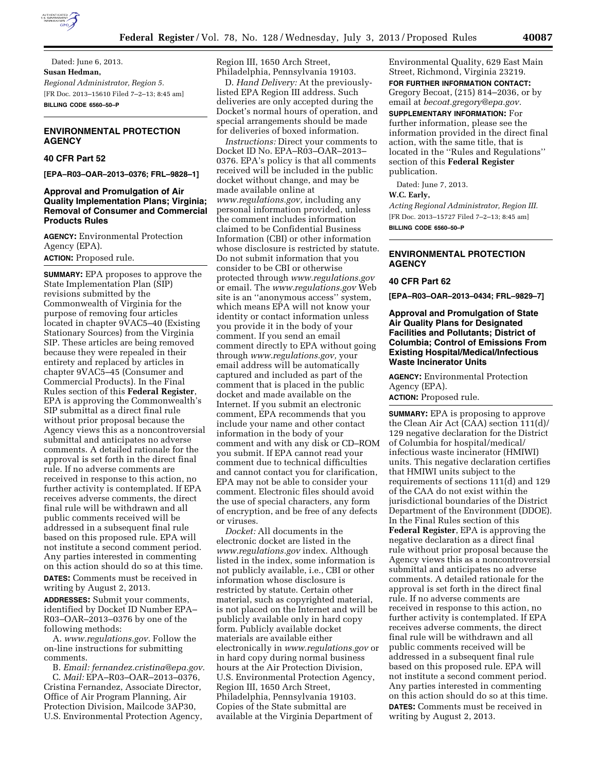

Dated: June 6, 2013. **Susan Hedman,**  *Regional Administrator, Region 5.*  [FR Doc. 2013–15610 Filed 7–2–13; 8:45 am] **BILLING CODE 6560–50–P** 

# **ENVIRONMENTAL PROTECTION AGENCY**

# **40 CFR Part 52**

**[EPA–R03–OAR–2013–0376; FRL–9828–1]** 

## **Approval and Promulgation of Air Quality Implementation Plans; Virginia; Removal of Consumer and Commercial Products Rules**

**AGENCY:** Environmental Protection Agency (EPA). **ACTION:** Proposed rule.

**SUMMARY:** EPA proposes to approve the State Implementation Plan (SIP) revisions submitted by the Commonwealth of Virginia for the purpose of removing four articles located in chapter 9VAC5–40 (Existing Stationary Sources) from the Virginia SIP. These articles are being removed because they were repealed in their entirety and replaced by articles in chapter 9VAC5–45 (Consumer and Commercial Products). In the Final Rules section of this **Federal Register**, EPA is approving the Commonwealth's SIP submittal as a direct final rule without prior proposal because the Agency views this as a noncontroversial submittal and anticipates no adverse comments. A detailed rationale for the approval is set forth in the direct final rule. If no adverse comments are received in response to this action, no further activity is contemplated. If EPA receives adverse comments, the direct final rule will be withdrawn and all public comments received will be addressed in a subsequent final rule based on this proposed rule. EPA will not institute a second comment period. Any parties interested in commenting on this action should do so at this time. **DATES:** Comments must be received in

writing by August 2, 2013.

**ADDRESSES:** Submit your comments, identified by Docket ID Number EPA– R03–OAR–2013–0376 by one of the following methods:

A. *[www.regulations.gov.](http://www.regulations.gov)* Follow the on-line instructions for submitting comments.

B. *Email: [fernandez.cristina@epa.gov.](mailto:fernandez.cristina@epa.gov)*  C. *Mail:* EPA–R03–OAR–2013–0376, Cristina Fernandez, Associate Director, Office of Air Program Planning, Air Protection Division, Mailcode 3AP30, U.S. Environmental Protection Agency,

Region III, 1650 Arch Street, Philadelphia, Pennsylvania 19103.

D. *Hand Delivery:* At the previouslylisted EPA Region III address. Such deliveries are only accepted during the Docket's normal hours of operation, and special arrangements should be made for deliveries of boxed information.

*Instructions:* Direct your comments to Docket ID No. EPA–R03–OAR–2013– 0376. EPA's policy is that all comments received will be included in the public docket without change, and may be made available online at *[www.regulations.gov,](http://www.regulations.gov)* including any personal information provided, unless the comment includes information claimed to be Confidential Business Information (CBI) or other information whose disclosure is restricted by statute. Do not submit information that you consider to be CBI or otherwise protected through *[www.regulations.gov](http://www.regulations.gov)*  or email. The *[www.regulations.gov](http://www.regulations.gov)* Web site is an ''anonymous access'' system, which means EPA will not know your identity or contact information unless you provide it in the body of your comment. If you send an email comment directly to EPA without going through *[www.regulations.gov,](http://www.regulations.gov)* your email address will be automatically captured and included as part of the comment that is placed in the public docket and made available on the Internet. If you submit an electronic comment, EPA recommends that you include your name and other contact information in the body of your comment and with any disk or CD–ROM you submit. If EPA cannot read your comment due to technical difficulties and cannot contact you for clarification, EPA may not be able to consider your comment. Electronic files should avoid the use of special characters, any form of encryption, and be free of any defects or viruses.

*Docket:* All documents in the electronic docket are listed in the *[www.regulations.gov](http://www.regulations.gov)* index. Although listed in the index, some information is not publicly available, i.e., CBI or other information whose disclosure is restricted by statute. Certain other material, such as copyrighted material, is not placed on the Internet and will be publicly available only in hard copy form. Publicly available docket materials are available either electronically in *[www.regulations.gov](http://www.regulations.gov)* or in hard copy during normal business hours at the Air Protection Division, U.S. Environmental Protection Agency, Region III, 1650 Arch Street, Philadelphia, Pennsylvania 19103. Copies of the State submittal are available at the Virginia Department of

Environmental Quality, 629 East Main Street, Richmond, Virginia 23219. **FOR FURTHER INFORMATION CONTACT:**  Gregory Becoat, (215) 814–2036, or by email at *[becoat.gregory@epa.gov.](mailto:becoat.gregory@epa.gov)*  **SUPPLEMENTARY INFORMATION:** For further information, please see the information provided in the direct final action, with the same title, that is located in the ''Rules and Regulations'' section of this **Federal Register**  publication.

Dated: June 7, 2013.

#### **W.C. Early,**

*Acting Regional Administrator, Region III.*  [FR Doc. 2013–15727 Filed 7–2–13; 8:45 am] **BILLING CODE 6560–50–P** 

## **ENVIRONMENTAL PROTECTION AGENCY**

#### **40 CFR Part 62**

**[EPA–R03–OAR–2013–0434; FRL–9829–7]** 

## **Approval and Promulgation of State Air Quality Plans for Designated Facilities and Pollutants; District of Columbia; Control of Emissions From Existing Hospital/Medical/Infectious Waste Incinerator Units**

**AGENCY:** Environmental Protection Agency (EPA). **ACTION:** Proposed rule.

**SUMMARY:** EPA is proposing to approve the Clean Air Act (CAA) section 111(d)/ 129 negative declaration for the District of Columbia for hospital/medical/ infectious waste incinerator (HMIWI) units. This negative declaration certifies that HMIWI units subject to the requirements of sections 111(d) and 129 of the CAA do not exist within the jurisdictional boundaries of the District Department of the Environment (DDOE). In the Final Rules section of this **Federal Register**, EPA is approving the negative declaration as a direct final rule without prior proposal because the Agency views this as a noncontroversial submittal and anticipates no adverse comments. A detailed rationale for the approval is set forth in the direct final rule. If no adverse comments are received in response to this action, no further activity is contemplated. If EPA receives adverse comments, the direct final rule will be withdrawn and all public comments received will be addressed in a subsequent final rule based on this proposed rule. EPA will not institute a second comment period. Any parties interested in commenting on this action should do so at this time. **DATES:** Comments must be received in writing by August 2, 2013.